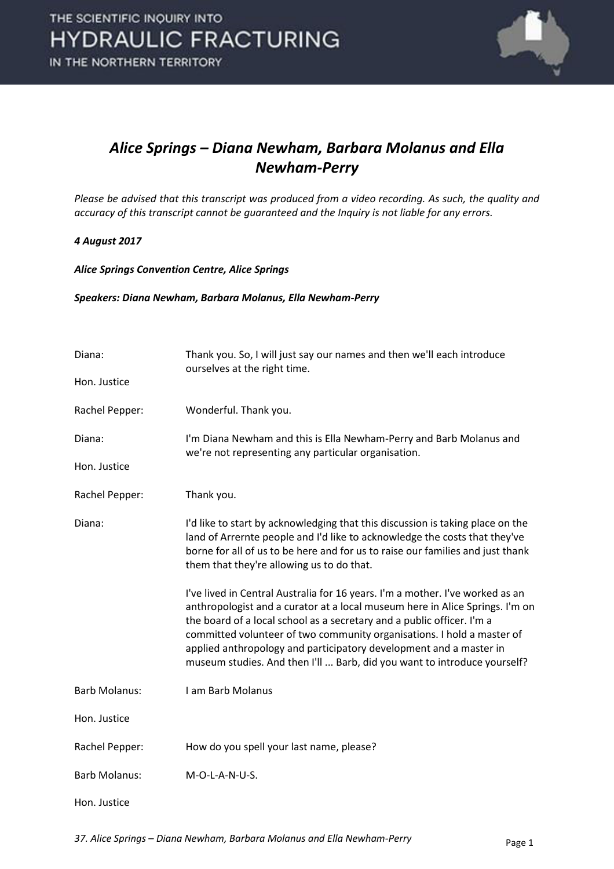

#### *Alice Springs – Diana Newham, Barbara Molanus and Ella Newham-Perry*

*Please be advised that this transcript was produced from a video recording. As such, the quality and accuracy of this transcript cannot be guaranteed and the Inquiry is not liable for any errors.* 

#### *4 August 2017*

*Alice Springs Convention Centre, Alice Springs* 

#### *Speakers: Diana Newham, Barbara Molanus, Ella Newham-Perry*

| Diana:               | Thank you. So, I will just say our names and then we'll each introduce<br>ourselves at the right time.                                                                                                                                                                                                                                                                                                                                                              |
|----------------------|---------------------------------------------------------------------------------------------------------------------------------------------------------------------------------------------------------------------------------------------------------------------------------------------------------------------------------------------------------------------------------------------------------------------------------------------------------------------|
| Hon. Justice         |                                                                                                                                                                                                                                                                                                                                                                                                                                                                     |
| Rachel Pepper:       | Wonderful. Thank you.                                                                                                                                                                                                                                                                                                                                                                                                                                               |
| Diana:               | I'm Diana Newham and this is Ella Newham-Perry and Barb Molanus and<br>we're not representing any particular organisation.                                                                                                                                                                                                                                                                                                                                          |
| Hon. Justice         |                                                                                                                                                                                                                                                                                                                                                                                                                                                                     |
| Rachel Pepper:       | Thank you.                                                                                                                                                                                                                                                                                                                                                                                                                                                          |
| Diana:               | I'd like to start by acknowledging that this discussion is taking place on the<br>land of Arrernte people and I'd like to acknowledge the costs that they've<br>borne for all of us to be here and for us to raise our families and just thank<br>them that they're allowing us to do that.                                                                                                                                                                         |
|                      | I've lived in Central Australia for 16 years. I'm a mother. I've worked as an<br>anthropologist and a curator at a local museum here in Alice Springs. I'm on<br>the board of a local school as a secretary and a public officer. I'm a<br>committed volunteer of two community organisations. I hold a master of<br>applied anthropology and participatory development and a master in<br>museum studies. And then I'll  Barb, did you want to introduce yourself? |
| <b>Barb Molanus:</b> | I am Barb Molanus                                                                                                                                                                                                                                                                                                                                                                                                                                                   |
| Hon. Justice         |                                                                                                                                                                                                                                                                                                                                                                                                                                                                     |
| Rachel Pepper:       | How do you spell your last name, please?                                                                                                                                                                                                                                                                                                                                                                                                                            |
| <b>Barb Molanus:</b> | M-O-L-A-N-U-S.                                                                                                                                                                                                                                                                                                                                                                                                                                                      |
| Hon. Justice         |                                                                                                                                                                                                                                                                                                                                                                                                                                                                     |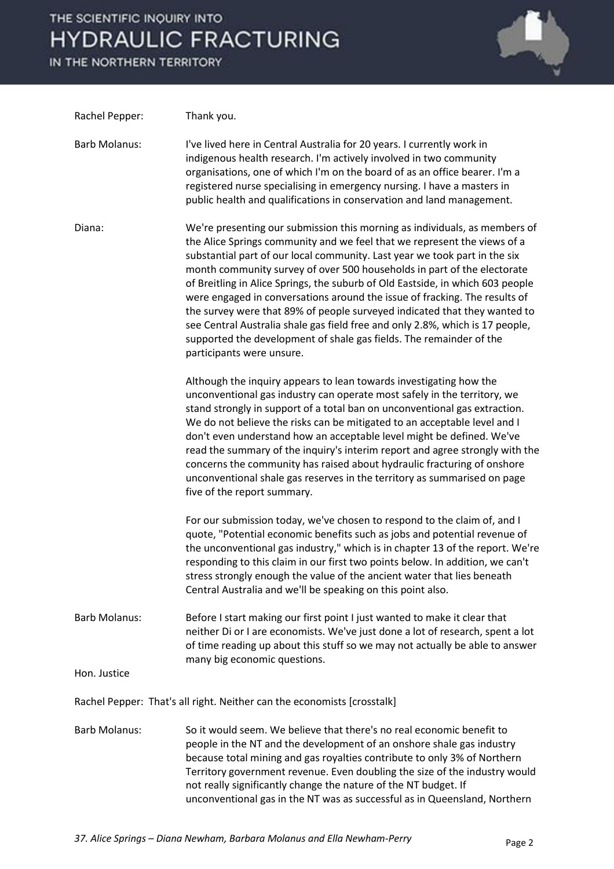IN THE NORTHERN TERRITORY



| Rachel Pepper:                                                          | Thank you.                                                                                                                                                                                                                                                                                                                                                                                                                                                                                                                                                                                                                                                                                                                                        |  |
|-------------------------------------------------------------------------|---------------------------------------------------------------------------------------------------------------------------------------------------------------------------------------------------------------------------------------------------------------------------------------------------------------------------------------------------------------------------------------------------------------------------------------------------------------------------------------------------------------------------------------------------------------------------------------------------------------------------------------------------------------------------------------------------------------------------------------------------|--|
| <b>Barb Molanus:</b>                                                    | I've lived here in Central Australia for 20 years. I currently work in<br>indigenous health research. I'm actively involved in two community<br>organisations, one of which I'm on the board of as an office bearer. I'm a<br>registered nurse specialising in emergency nursing. I have a masters in<br>public health and qualifications in conservation and land management.                                                                                                                                                                                                                                                                                                                                                                    |  |
| Diana:                                                                  | We're presenting our submission this morning as individuals, as members of<br>the Alice Springs community and we feel that we represent the views of a<br>substantial part of our local community. Last year we took part in the six<br>month community survey of over 500 households in part of the electorate<br>of Breitling in Alice Springs, the suburb of Old Eastside, in which 603 people<br>were engaged in conversations around the issue of fracking. The results of<br>the survey were that 89% of people surveyed indicated that they wanted to<br>see Central Australia shale gas field free and only 2.8%, which is 17 people,<br>supported the development of shale gas fields. The remainder of the<br>participants were unsure. |  |
|                                                                         | Although the inquiry appears to lean towards investigating how the<br>unconventional gas industry can operate most safely in the territory, we<br>stand strongly in support of a total ban on unconventional gas extraction.<br>We do not believe the risks can be mitigated to an acceptable level and I<br>don't even understand how an acceptable level might be defined. We've<br>read the summary of the inquiry's interim report and agree strongly with the<br>concerns the community has raised about hydraulic fracturing of onshore<br>unconventional shale gas reserves in the territory as summarised on page<br>five of the report summary.                                                                                          |  |
|                                                                         | For our submission today, we've chosen to respond to the claim of, and I<br>quote, "Potential economic benefits such as jobs and potential revenue of<br>the unconventional gas industry," which is in chapter 13 of the report. We're<br>responding to this claim in our first two points below. In addition, we can't<br>stress strongly enough the value of the ancient water that lies beneath<br>Central Australia and we'll be speaking on this point also.                                                                                                                                                                                                                                                                                 |  |
| <b>Barb Molanus:</b>                                                    | Before I start making our first point I just wanted to make it clear that<br>neither Di or I are economists. We've just done a lot of research, spent a lot<br>of time reading up about this stuff so we may not actually be able to answer<br>many big economic questions.                                                                                                                                                                                                                                                                                                                                                                                                                                                                       |  |
| Hon. Justice                                                            |                                                                                                                                                                                                                                                                                                                                                                                                                                                                                                                                                                                                                                                                                                                                                   |  |
| Rachel Pepper: That's all right. Neither can the economists [crosstalk] |                                                                                                                                                                                                                                                                                                                                                                                                                                                                                                                                                                                                                                                                                                                                                   |  |
| <b>Barb Molanus:</b>                                                    | So it would seem. We believe that there's no real economic benefit to<br>people in the NT and the development of an onshore shale gas industry<br>because total mining and gas royalties contribute to only 3% of Northern<br>Territory government revenue. Even doubling the size of the industry would<br>not really significantly change the nature of the NT budget. If<br>unconventional gas in the NT was as successful as in Queensland, Northern                                                                                                                                                                                                                                                                                          |  |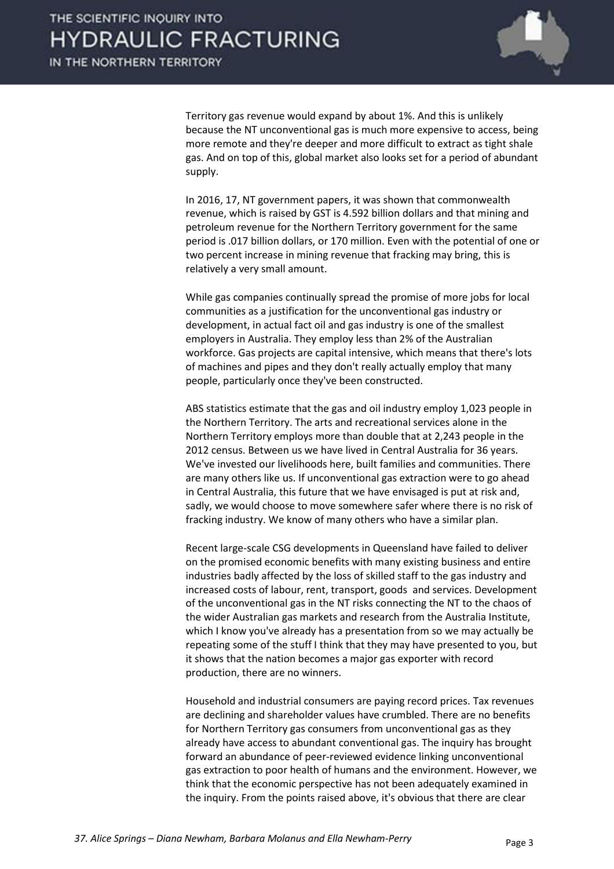

Territory gas revenue would expand by about 1%. And this is unlikely because the NT unconventional gas is much more expensive to access, being more remote and they're deeper and more difficult to extract as tight shale gas. And on top of this, global market also looks set for a period of abundant supply.

 In 2016, 17, NT government papers, it was shown that commonwealth revenue, which is raised by GST is 4.592 billion dollars and that mining and petroleum revenue for the Northern Territory government for the same period is .017 billion dollars, or 170 million. Even with the potential of one or two percent increase in mining revenue that fracking may bring, this is relatively a very small amount.

 While gas companies continually spread the promise of more jobs for local communities as a justification for the unconventional gas industry or development, in actual fact oil and gas industry is one of the smallest employers in Australia. They employ less than 2% of the Australian workforce. Gas projects are capital intensive, which means that there's lots of machines and pipes and they don't really actually employ that many people, particularly once they've been constructed.

 ABS statistics estimate that the gas and oil industry employ 1,023 people in the Northern Territory. The arts and recreational services alone in the Northern Territory employs more than double that at 2,243 people in the 2012 census. Between us we have lived in Central Australia for 36 years. We've invested our livelihoods here, built families and communities. There are many others like us. If unconventional gas extraction were to go ahead in Central Australia, this future that we have envisaged is put at risk and, sadly, we would choose to move somewhere safer where there is no risk of fracking industry. We know of many others who have a similar plan.

 Recent large-scale CSG developments in Queensland have failed to deliver on the promised economic benefits with many existing business and entire industries badly affected by the loss of skilled staff to the gas industry and increased costs of labour, rent, transport, goods and services. Development of the unconventional gas in the NT risks connecting the NT to the chaos of the wider Australian gas markets and research from the Australia Institute, which I know you've already has a presentation from so we may actually be repeating some of the stuff I think that they may have presented to you, but it shows that the nation becomes a major gas exporter with record production, there are no winners.

 Household and industrial consumers are paying record prices. Tax revenues are declining and shareholder values have crumbled. There are no benefits for Northern Territory gas consumers from unconventional gas as they already have access to abundant conventional gas. The inquiry has brought forward an abundance of peer-reviewed evidence linking unconventional gas extraction to poor health of humans and the environment. However, we think that the economic perspective has not been adequately examined in the inquiry. From the points raised above, it's obvious that there are clear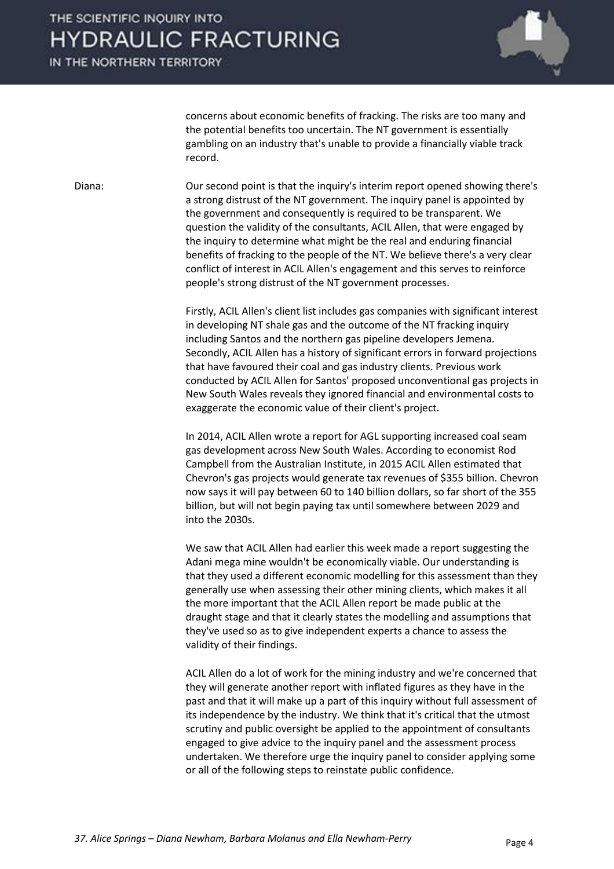IN THE NORTHERN TERRITORY



concerns about economic benefits of fracking. The risks are too many and the potential benefits too uncertain. The NT government is essentially gambling on an industry that's unable to provide a financially viable track record.

Diana: Our second point is that the inquiry's interim report opened showing there's a strong distrust of the NT government. The inquiry panel is appointed by the government and consequently is required to be transparent. We question the validity of the consultants, ACIL Allen, that were engaged by the inquiry to determine what might be the real and enduring financial benefits of fracking to the people of the NT. We believe there's a very clear conflict of interest in ACIL Allen's engagement and this serves to reinforce people's strong distrust of the NT government processes.

> Firstly, ACIL Allen's client list includes gas companies with significant interest in developing NT shale gas and the outcome of the NT fracking inquiry including Santos and the northern gas pipeline developers Jemena. Secondly, ACIL Allen has a history of significant errors in forward projections that have favoured their coal and gas industry clients. Previous work conducted by ACIL Allen for Santos' proposed unconventional gas projects in New South Wales reveals they ignored financial and environmental costs to exaggerate the economic value of their client's project.

> In 2014, ACIL Allen wrote a report for AGL supporting increased coal seam gas development across New South Wales. According to economist Rod Campbell from the Australian Institute, in 2015 ACIL Allen estimated that Chevron's gas projects would generate tax revenues of \$355 billion. Chevron now says it will pay between 60 to 140 billion dollars, so far short of the 355 billion, but will not begin paying tax until somewhere between 2029 and into the 2030s.

> We saw that ACIL Allen had earlier this week made a report suggesting the Adani mega mine wouldn't be economically viable. Our understanding is that they used a different economic modelling for this assessment than they generally use when assessing their other mining clients, which makes it all the more important that the ACIL Allen report be made public at the draught stage and that it clearly states the modelling and assumptions that they've used so as to give independent experts a chance to assess the validity of their findings.

> ACIL Allen do a lot of work for the mining industry and we're concerned that they will generate another report with inflated figures as they have in the past and that it will make up a part of this inquiry without full assessment of its independence by the industry. We think that it's critical that the utmost scrutiny and public oversight be applied to the appointment of consultants engaged to give advice to the inquiry panel and the assessment process undertaken. We therefore urge the inquiry panel to consider applying some or all of the following steps to reinstate public confidence.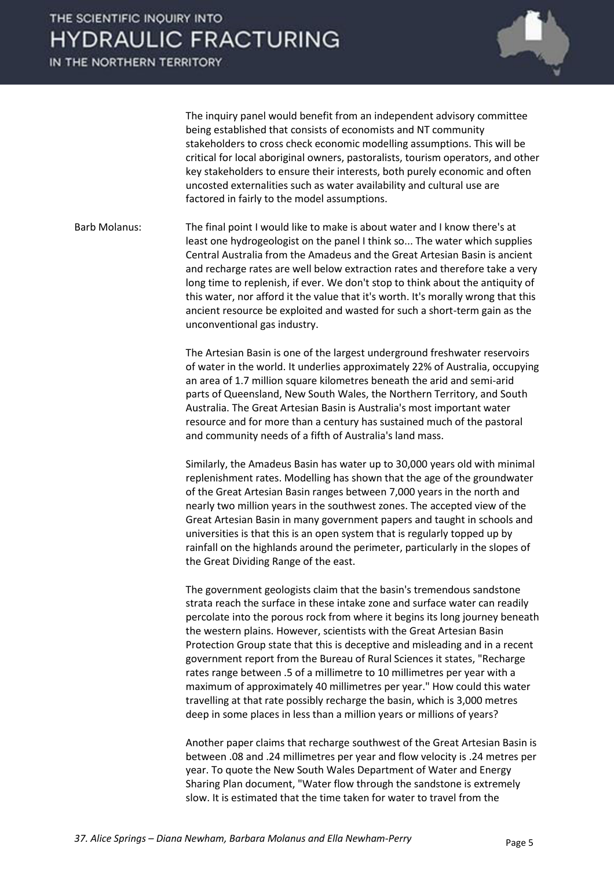IN THE NORTHERN TERRITORY



 The inquiry panel would benefit from an independent advisory committee being established that consists of economists and NT community stakeholders to cross check economic modelling assumptions. This will be critical for local aboriginal owners, pastoralists, tourism operators, and other key stakeholders to ensure their interests, both purely economic and often uncosted externalities such as water availability and cultural use are factored in fairly to the model assumptions.

Barb Molanus: The final point I would like to make is about water and I know there's at least one hydrogeologist on the panel I think so... The water which supplies Central Australia from the Amadeus and the Great Artesian Basin is ancient and recharge rates are well below extraction rates and therefore take a very long time to replenish, if ever. We don't stop to think about the antiquity of this water, nor afford it the value that it's worth. It's morally wrong that this ancient resource be exploited and wasted for such a short-term gain as the unconventional gas industry.

> The Artesian Basin is one of the largest underground freshwater reservoirs of water in the world. It underlies approximately 22% of Australia, occupying an area of 1.7 million square kilometres beneath the arid and semi-arid parts of Queensland, New South Wales, the Northern Territory, and South Australia. The Great Artesian Basin is Australia's most important water resource and for more than a century has sustained much of the pastoral and community needs of a fifth of Australia's land mass.

 Similarly, the Amadeus Basin has water up to 30,000 years old with minimal replenishment rates. Modelling has shown that the age of the groundwater of the Great Artesian Basin ranges between 7,000 years in the north and nearly two million years in the southwest zones. The accepted view of the Great Artesian Basin in many government papers and taught in schools and universities is that this is an open system that is regularly topped up by rainfall on the highlands around the perimeter, particularly in the slopes of the Great Dividing Range of the east.

 The government geologists claim that the basin's tremendous sandstone strata reach the surface in these intake zone and surface water can readily percolate into the porous rock from where it begins its long journey beneath the western plains. However, scientists with the Great Artesian Basin Protection Group state that this is deceptive and misleading and in a recent government report from the Bureau of Rural Sciences it states, "Recharge rates range between .5 of a millimetre to 10 millimetres per year with a maximum of approximately 40 millimetres per year." How could this water travelling at that rate possibly recharge the basin, which is 3,000 metres deep in some places in less than a million years or millions of years?

 Another paper claims that recharge southwest of the Great Artesian Basin is between .08 and .24 millimetres per year and flow velocity is .24 metres per year. To quote the New South Wales Department of Water and Energy Sharing Plan document, "Water flow through the sandstone is extremely slow. It is estimated that the time taken for water to travel from the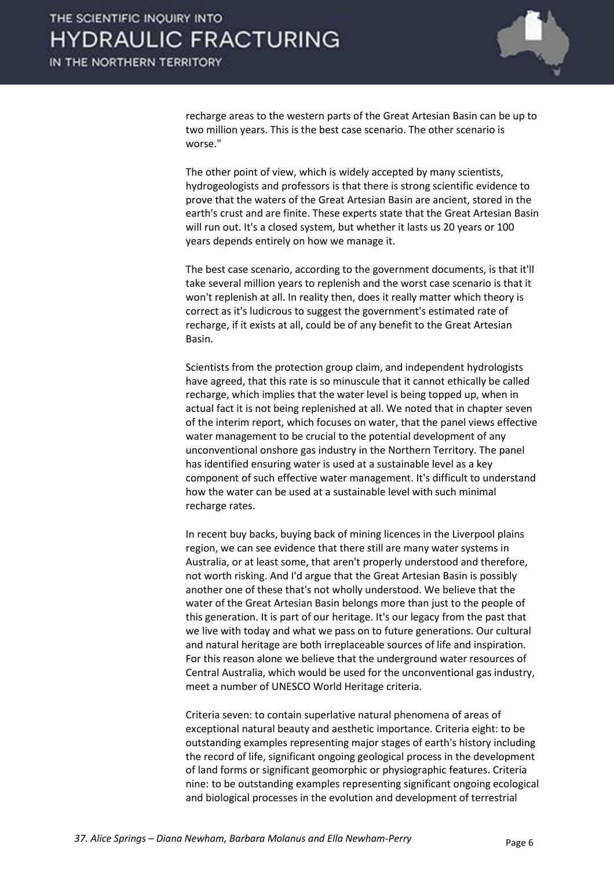

recharge areas to the western parts of the Great Artesian Basin can be up to two million years. This is the best case scenario. The other scenario is worse."

 The other point of view, which is widely accepted by many scientists, hydrogeologists and professors is that there is strong scientific evidence to prove that the waters of the Great Artesian Basin are ancient, stored in the earth's crust and are finite. These experts state that the Great Artesian Basin will run out. It's a closed system, but whether it lasts us 20 years or 100 years depends entirely on how we manage it.

 The best case scenario, according to the government documents, is that it'll take several million years to replenish and the worst case scenario is that it won't replenish at all. In reality then, does it really matter which theory is correct as it's ludicrous to suggest the government's estimated rate of recharge, if it exists at all, could be of any benefit to the Great Artesian Basin.

 Scientists from the protection group claim, and independent hydrologists have agreed, that this rate is so minuscule that it cannot ethically be called recharge, which implies that the water level is being topped up, when in actual fact it is not being replenished at all. We noted that in chapter seven of the interim report, which focuses on water, that the panel views effective water management to be crucial to the potential development of any unconventional onshore gas industry in the Northern Territory. The panel has identified ensuring water is used at a sustainable level as a key component of such effective water management. It's difficult to understand how the water can be used at a sustainable level with such minimal recharge rates.

 In recent buy backs, buying back of mining licences in the Liverpool plains region, we can see evidence that there still are many water systems in Australia, or at least some, that aren't properly understood and therefore, not worth risking. And I'd argue that the Great Artesian Basin is possibly another one of these that's not wholly understood. We believe that the water of the Great Artesian Basin belongs more than just to the people of this generation. It is part of our heritage. It's our legacy from the past that we live with today and what we pass on to future generations. Our cultural and natural heritage are both irreplaceable sources of life and inspiration. For this reason alone we believe that the underground water resources of Central Australia, which would be used for the unconventional gas industry, meet a number of UNESCO World Heritage criteria.

 Criteria seven: to contain superlative natural phenomena of areas of exceptional natural beauty and aesthetic importance. Criteria eight: to be outstanding examples representing major stages of earth's history including the record of life, significant ongoing geological process in the development of land forms or significant geomorphic or physiographic features. Criteria nine: to be outstanding examples representing significant ongoing ecological and biological processes in the evolution and development of terrestrial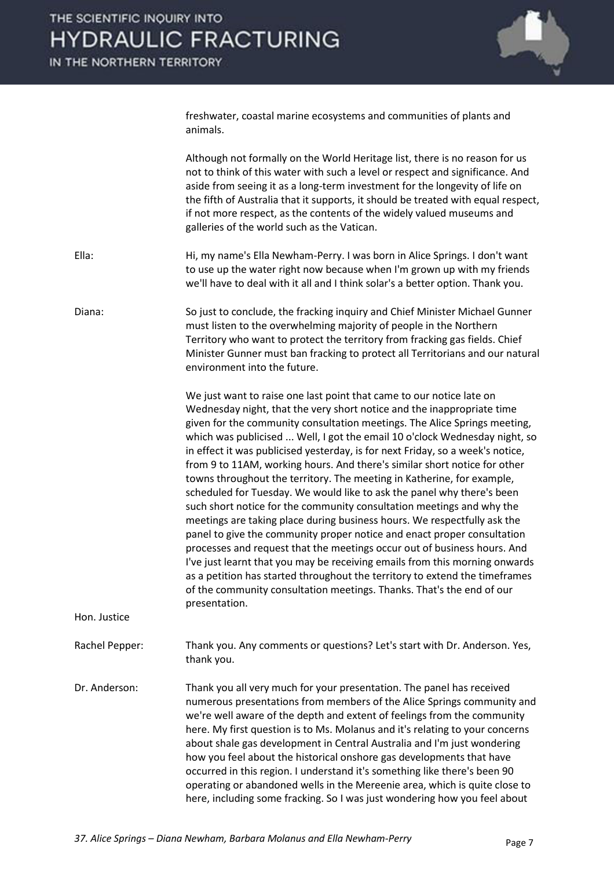

freshwater, coastal marine ecosystems and communities of plants and animals.

 Although not formally on the World Heritage list, there is no reason for us not to think of this water with such a level or respect and significance. And aside from seeing it as a long-term investment for the longevity of life on the fifth of Australia that it supports, it should be treated with equal respect, if not more respect, as the contents of the widely valued museums and galleries of the world such as the Vatican.

Ella: Hi, my name's Ella Newham-Perry. I was born in Alice Springs. I don't want to use up the water right now because when I'm grown up with my friends we'll have to deal with it all and I think solar's a better option. Thank you.

Diana: So just to conclude, the fracking inquiry and Chief Minister Michael Gunner must listen to the overwhelming majority of people in the Northern Territory who want to protect the territory from fracking gas fields. Chief Minister Gunner must ban fracking to protect all Territorians and our natural environment into the future.

> We just want to raise one last point that came to our notice late on Wednesday night, that the very short notice and the inappropriate time given for the community consultation meetings. The Alice Springs meeting, which was publicised ... Well, I got the email 10 o'clock Wednesday night, so in effect it was publicised yesterday, is for next Friday, so a week's notice, from 9 to 11AM, working hours. And there's similar short notice for other towns throughout the territory. The meeting in Katherine, for example, scheduled for Tuesday. We would like to ask the panel why there's been such short notice for the community consultation meetings and why the meetings are taking place during business hours. We respectfully ask the panel to give the community proper notice and enact proper consultation processes and request that the meetings occur out of business hours. And I've just learnt that you may be receiving emails from this morning onwards as a petition has started throughout the territory to extend the timeframes of the community consultation meetings. Thanks. That's the end of our presentation.

Hon. Justice

Rachel Pepper: Thank you. Any comments or questions? Let's start with Dr. Anderson. Yes, thank you.

Dr. Anderson: Thank you all very much for your presentation. The panel has received numerous presentations from members of the Alice Springs community and we're well aware of the depth and extent of feelings from the community here. My first question is to Ms. Molanus and it's relating to your concerns about shale gas development in Central Australia and I'm just wondering how you feel about the historical onshore gas developments that have occurred in this region. I understand it's something like there's been 90 operating or abandoned wells in the Mereenie area, which is quite close to here, including some fracking. So I was just wondering how you feel about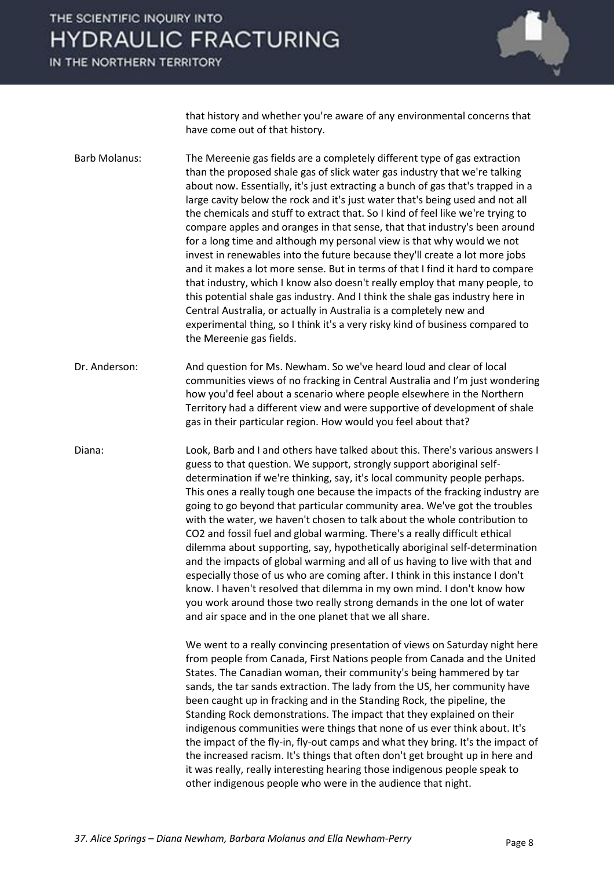IN THE NORTHERN TERRITORY



that history and whether you're aware of any environmental concerns that have come out of that history.

Barb Molanus: The Mereenie gas fields are a completely different type of gas extraction than the proposed shale gas of slick water gas industry that we're talking about now. Essentially, it's just extracting a bunch of gas that's trapped in a large cavity below the rock and it's just water that's being used and not all the chemicals and stuff to extract that. So I kind of feel like we're trying to compare apples and oranges in that sense, that that industry's been around for a long time and although my personal view is that why would we not invest in renewables into the future because they'll create a lot more jobs and it makes a lot more sense. But in terms of that I find it hard to compare that industry, which I know also doesn't really employ that many people, to this potential shale gas industry. And I think the shale gas industry here in Central Australia, or actually in Australia is a completely new and experimental thing, so I think it's a very risky kind of business compared to the Mereenie gas fields.

Dr. Anderson: And question for Ms. Newham. So we've heard loud and clear of local communities views of no fracking in Central Australia and I'm just wondering how you'd feel about a scenario where people elsewhere in the Northern Territory had a different view and were supportive of development of shale gas in their particular region. How would you feel about that?

Diana: Look, Barb and I and others have talked about this. There's various answers I guess to that question. We support, strongly support aboriginal selfdetermination if we're thinking, say, it's local community people perhaps. This ones a really tough one because the impacts of the fracking industry are going to go beyond that particular community area. We've got the troubles with the water, we haven't chosen to talk about the whole contribution to CO2 and fossil fuel and global warming. There's a really difficult ethical dilemma about supporting, say, hypothetically aboriginal self-determination and the impacts of global warming and all of us having to live with that and especially those of us who are coming after. I think in this instance I don't know. I haven't resolved that dilemma in my own mind. I don't know how you work around those two really strong demands in the one lot of water and air space and in the one planet that we all share.

> We went to a really convincing presentation of views on Saturday night here from people from Canada, First Nations people from Canada and the United States. The Canadian woman, their community's being hammered by tar sands, the tar sands extraction. The lady from the US, her community have been caught up in fracking and in the Standing Rock, the pipeline, the Standing Rock demonstrations. The impact that they explained on their indigenous communities were things that none of us ever think about. It's the impact of the fly-in, fly-out camps and what they bring. It's the impact of the increased racism. It's things that often don't get brought up in here and it was really, really interesting hearing those indigenous people speak to other indigenous people who were in the audience that night.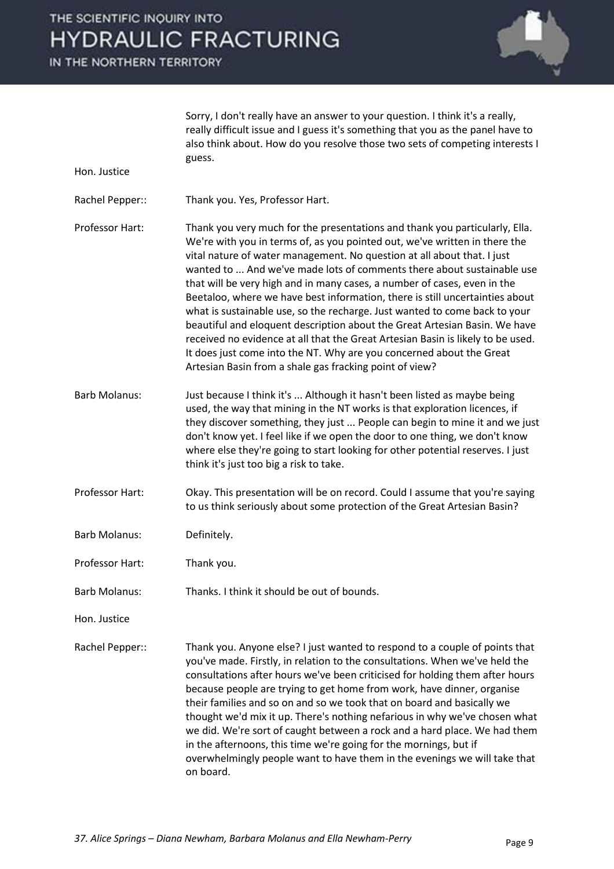IN THE NORTHERN TERRITORY

Hon. Justice



 Sorry, I don't really have an answer to your question. I think it's a really, really difficult issue and I guess it's something that you as the panel have to also think about. How do you resolve those two sets of competing interests I guess.

- Rachel Pepper:: Thank you. Yes, Professor Hart.
- Professor Hart: Thank you very much for the presentations and thank you particularly, Ella. We're with you in terms of, as you pointed out, we've written in there the vital nature of water management. No question at all about that. I just wanted to ... And we've made lots of comments there about sustainable use that will be very high and in many cases, a number of cases, even in the Beetaloo, where we have best information, there is still uncertainties about what is sustainable use, so the recharge. Just wanted to come back to your beautiful and eloquent description about the Great Artesian Basin. We have received no evidence at all that the Great Artesian Basin is likely to be used. It does just come into the NT. Why are you concerned about the Great Artesian Basin from a shale gas fracking point of view?
- Barb Molanus: Just because I think it's ... Although it hasn't been listed as maybe being used, the way that mining in the NT works is that exploration licences, if they discover something, they just ... People can begin to mine it and we just don't know yet. I feel like if we open the door to one thing, we don't know where else they're going to start looking for other potential reserves. I just think it's just too big a risk to take.
- Professor Hart: Okay. This presentation will be on record. Could I assume that you're saying to us think seriously about some protection of the Great Artesian Basin?
- Barb Molanus: Definitely.
- Professor Hart: Thank you.
- Barb Molanus: Thanks. I think it should be out of bounds.
- Hon. Justice

Rachel Pepper:: Thank you. Anyone else? I just wanted to respond to a couple of points that you've made. Firstly, in relation to the consultations. When we've held the consultations after hours we've been criticised for holding them after hours because people are trying to get home from work, have dinner, organise their families and so on and so we took that on board and basically we thought we'd mix it up. There's nothing nefarious in why we've chosen what we did. We're sort of caught between a rock and a hard place. We had them in the afternoons, this time we're going for the mornings, but if overwhelmingly people want to have them in the evenings we will take that on board.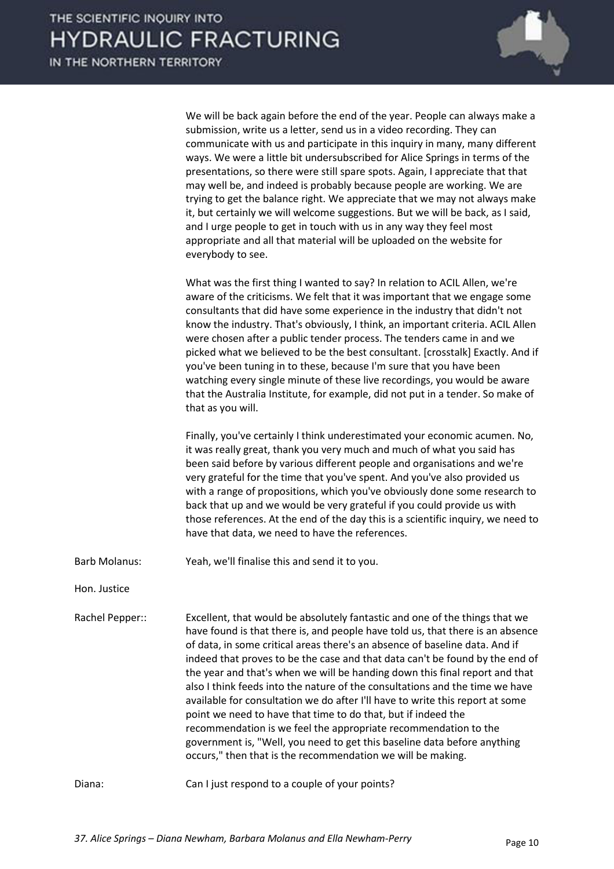

 We will be back again before the end of the year. People can always make a submission, write us a letter, send us in a video recording. They can communicate with us and participate in this inquiry in many, many different ways. We were a little bit undersubscribed for Alice Springs in terms of the presentations, so there were still spare spots. Again, I appreciate that that may well be, and indeed is probably because people are working. We are trying to get the balance right. We appreciate that we may not always make it, but certainly we will welcome suggestions. But we will be back, as I said, and I urge people to get in touch with us in any way they feel most appropriate and all that material will be uploaded on the website for everybody to see.

 What was the first thing I wanted to say? In relation to ACIL Allen, we're aware of the criticisms. We felt that it was important that we engage some consultants that did have some experience in the industry that didn't not know the industry. That's obviously, I think, an important criteria. ACIL Allen were chosen after a public tender process. The tenders came in and we picked what we believed to be the best consultant. [crosstalk] Exactly. And if you've been tuning in to these, because I'm sure that you have been watching every single minute of these live recordings, you would be aware that the Australia Institute, for example, did not put in a tender. So make of that as you will.

 Finally, you've certainly I think underestimated your economic acumen. No, it was really great, thank you very much and much of what you said has been said before by various different people and organisations and we're very grateful for the time that you've spent. And you've also provided us with a range of propositions, which you've obviously done some research to back that up and we would be very grateful if you could provide us with those references. At the end of the day this is a scientific inquiry, we need to have that data, we need to have the references.

Barb Molanus: Yeah, we'll finalise this and send it to you.

Hon. Justice

Rachel Pepper:: Excellent, that would be absolutely fantastic and one of the things that we have found is that there is, and people have told us, that there is an absence of data, in some critical areas there's an absence of baseline data. And if indeed that proves to be the case and that data can't be found by the end of the year and that's when we will be handing down this final report and that also I think feeds into the nature of the consultations and the time we have available for consultation we do after I'll have to write this report at some point we need to have that time to do that, but if indeed the recommendation is we feel the appropriate recommendation to the government is, "Well, you need to get this baseline data before anything occurs," then that is the recommendation we will be making.

Diana: Can I just respond to a couple of your points?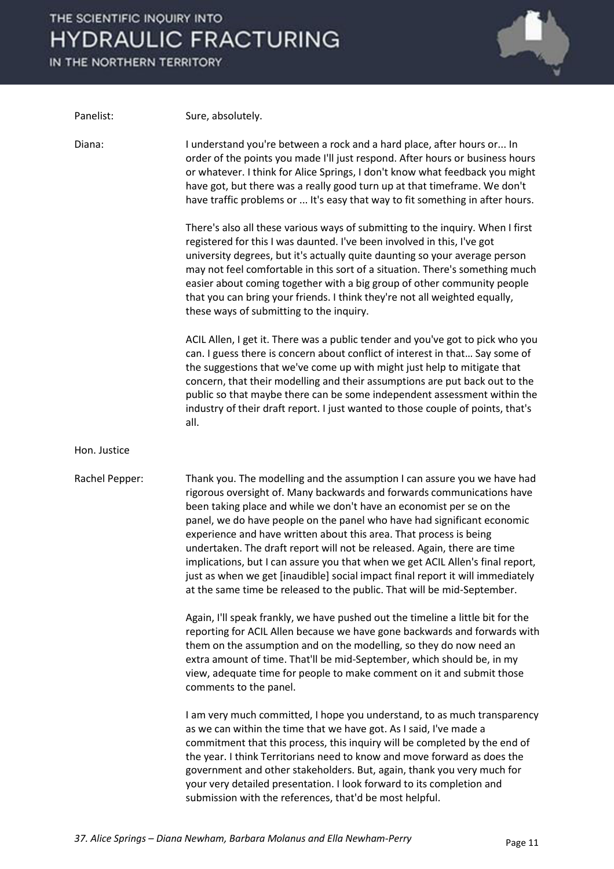IN THE NORTHERN TERRITORY



| Panelist:      | Sure, absolutely.                                                                                                                                                                                                                                                                                                                                                                                                                                                                                                                                                                                                                                                                                      |
|----------------|--------------------------------------------------------------------------------------------------------------------------------------------------------------------------------------------------------------------------------------------------------------------------------------------------------------------------------------------------------------------------------------------------------------------------------------------------------------------------------------------------------------------------------------------------------------------------------------------------------------------------------------------------------------------------------------------------------|
| Diana:         | I understand you're between a rock and a hard place, after hours or In<br>order of the points you made I'll just respond. After hours or business hours<br>or whatever. I think for Alice Springs, I don't know what feedback you might<br>have got, but there was a really good turn up at that timeframe. We don't<br>have traffic problems or  It's easy that way to fit something in after hours.                                                                                                                                                                                                                                                                                                  |
|                | There's also all these various ways of submitting to the inquiry. When I first<br>registered for this I was daunted. I've been involved in this, I've got<br>university degrees, but it's actually quite daunting so your average person<br>may not feel comfortable in this sort of a situation. There's something much<br>easier about coming together with a big group of other community people<br>that you can bring your friends. I think they're not all weighted equally,<br>these ways of submitting to the inquiry.                                                                                                                                                                          |
|                | ACIL Allen, I get it. There was a public tender and you've got to pick who you<br>can. I guess there is concern about conflict of interest in that Say some of<br>the suggestions that we've come up with might just help to mitigate that<br>concern, that their modelling and their assumptions are put back out to the<br>public so that maybe there can be some independent assessment within the<br>industry of their draft report. I just wanted to those couple of points, that's<br>all.                                                                                                                                                                                                       |
| Hon. Justice   |                                                                                                                                                                                                                                                                                                                                                                                                                                                                                                                                                                                                                                                                                                        |
| Rachel Pepper: | Thank you. The modelling and the assumption I can assure you we have had<br>rigorous oversight of. Many backwards and forwards communications have<br>been taking place and while we don't have an economist per se on the<br>panel, we do have people on the panel who have had significant economic<br>experience and have written about this area. That process is being<br>undertaken. The draft report will not be released. Again, there are time<br>implications, but I can assure you that when we get ACIL Allen's final report,<br>just as when we get [inaudible] social impact final report it will immediately<br>at the same time be released to the public. That will be mid-September. |
|                | Again, I'll speak frankly, we have pushed out the timeline a little bit for the<br>reporting for ACIL Allen because we have gone backwards and forwards with<br>them on the assumption and on the modelling, so they do now need an<br>extra amount of time. That'll be mid-September, which should be, in my<br>view, adequate time for people to make comment on it and submit those<br>comments to the panel.                                                                                                                                                                                                                                                                                       |
|                | I am very much committed, I hope you understand, to as much transparency<br>as we can within the time that we have got. As I said, I've made a<br>commitment that this process, this inquiry will be completed by the end of<br>the year. I think Territorians need to know and move forward as does the<br>government and other stakeholders. But, again, thank you very much for<br>your very detailed presentation. I look forward to its completion and<br>submission with the references, that'd be most helpful.                                                                                                                                                                                 |